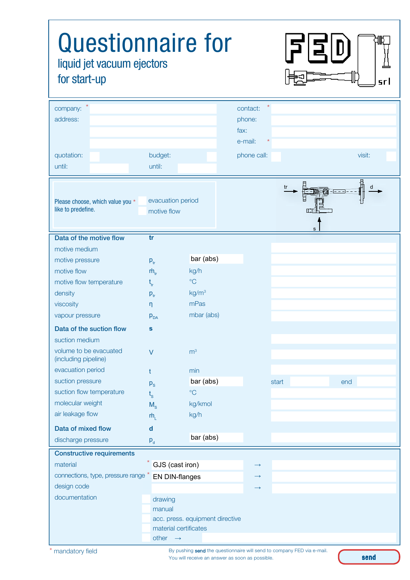| <b>Questionnaire for</b><br>liquid jet vacuum ejectors<br>for start-up                     |                        |                                 |                                                  |       | srl    |
|--------------------------------------------------------------------------------------------|------------------------|---------------------------------|--------------------------------------------------|-------|--------|
| company:<br>address:                                                                       |                        |                                 | contact:<br>phone:<br>fax:<br>e-mail:<br>$\star$ |       |        |
| quotation:                                                                                 | budget:                |                                 | phone call:                                      |       | visit: |
| until:                                                                                     | until:                 |                                 |                                                  |       |        |
| evacuation period<br>Please choose, which value you *<br>like to predefine.<br>motive flow |                        |                                 | tr<br>d<br>s                                     |       |        |
| Data of the motive flow                                                                    | tr                     |                                 |                                                  |       |        |
| motive medium                                                                              |                        |                                 |                                                  |       |        |
| motive pressure                                                                            | $p_{tr}$               | bar (abs)                       |                                                  |       |        |
| motive flow                                                                                | $\dot{m}_{\rm tr}$     | kg/h                            |                                                  |       |        |
| motive flow temperature                                                                    | $t_{tr}$               | $\rm ^{\circ}C$                 |                                                  |       |        |
| density                                                                                    | $P_{tr}$               | kg/m <sup>3</sup>               |                                                  |       |        |
| viscosity                                                                                  | η                      | mPas                            |                                                  |       |        |
| vapour pressure                                                                            | P <sub>DA</sub>        | mbar (abs)                      |                                                  |       |        |
| Data of the suction flow                                                                   | S                      |                                 |                                                  |       |        |
| suction medium                                                                             |                        |                                 |                                                  |       |        |
| volume to be evacuated<br>(including pipeline)                                             | $\vee$                 | m <sup>3</sup>                  |                                                  |       |        |
| evacuation period                                                                          | t.                     | min                             |                                                  |       |        |
| suction pressure                                                                           | $P_{S}$                | bar (abs)                       |                                                  | start | end    |
| suction flow temperature                                                                   | $\mathfrak{t}_{\rm s}$ | $\rm ^{\circ}C$                 |                                                  |       |        |
| molecular weight                                                                           | $M_s$                  | kg/kmol                         |                                                  |       |        |
| air leakage flow                                                                           | $\dot{m}_{\text{L}}$   | kg/h                            |                                                  |       |        |
| Data of mixed flow<br>discharge pressure                                                   | $\mathbf d$<br>$P_d$   | bar (abs)                       |                                                  |       |        |
| <b>Constructive requirements</b>                                                           |                        |                                 |                                                  |       |        |
| material                                                                                   | $*$ GJS (cast iron)    |                                 | $\rightarrow$                                    |       |        |
| connections, type, pressure range *                                                        | <b>EN DIN-flanges</b>  |                                 | $\rightarrow$                                    |       |        |
| design code                                                                                |                        |                                 | $\rightarrow$                                    |       |        |
| documentation                                                                              | drawing                |                                 |                                                  |       |        |
|                                                                                            | manual                 |                                 |                                                  |       |        |
|                                                                                            |                        | acc. press. equipment directive |                                                  |       |        |
|                                                                                            |                        | material certificates           |                                                  |       |        |
|                                                                                            | other $\rightarrow$    |                                 |                                                  |       |        |

mandatory field

By pushing send the questionnaire will send to company FED via e-mail. You will receive an answer as soon as possible.

send